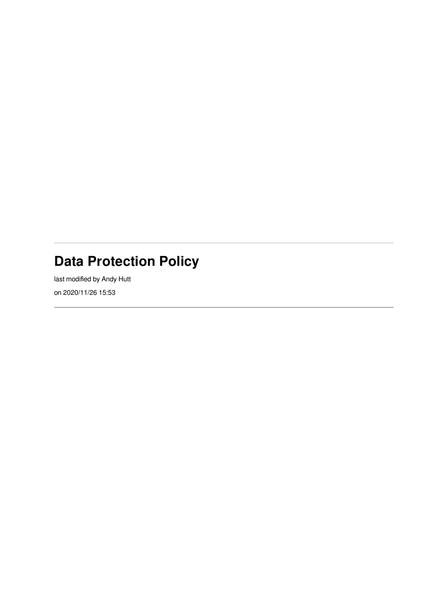## **Data Protection Policy**

last modified by Andy Hutt on 2020/11/26 15:53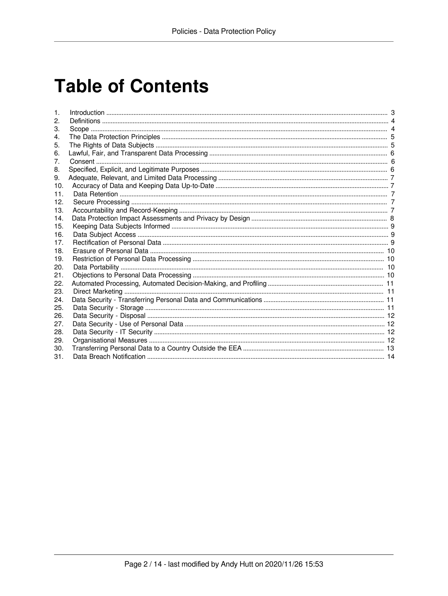# **Table of Contents**

| 3.  |  |
|-----|--|
| 4.  |  |
| 5.  |  |
| 6.  |  |
| 7.  |  |
| 8.  |  |
| 9.  |  |
| 10. |  |
| 11. |  |
| 12. |  |
| 13. |  |
| 14. |  |
| 15. |  |
| 16. |  |
| 17. |  |
| 18. |  |
| 19. |  |
| 20. |  |
| 21. |  |
| 22. |  |
| 23. |  |
| 24. |  |
| 25. |  |
| 26. |  |
| 27. |  |
| 28. |  |
| 29. |  |
| 30. |  |
| 31. |  |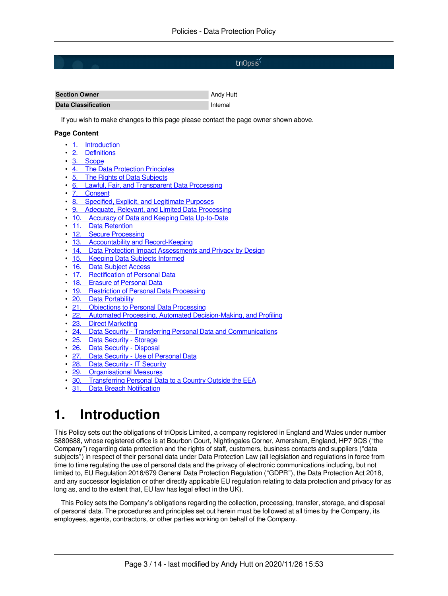#### triOpsis<sup>\*</sup>

| <b>Section Owner</b>       | Andy Hutt |
|----------------------------|-----------|
| <b>Data Classification</b> | Internal  |

If you wish to make changes to this page please contact the page owner shown above.

#### **Page Content**

- 1. Introduction<br>• 2. Definitions
- 2. Definitions<br>• 3. Scope
- $\frac{3.}{4}$  The Da
- 4. The Data Protection Principles<br>5. The Rights of Data Subiects
- 5. The Rights of Data Subjects<br>6. Lawful, Fair, and Transparen
- 6. Lawful, Fair, and Transparent Data Processing<br>7. Consent
- 7. Consent<br>8. Specified
- 8. Specified, Explicit, and Legitimate Purposes<br>9. Adequate, Relevant, and Limited Data Proce
- 9. Adequate, Relevant, and Limited Data Processing<br>10. Accuracy of Data and Keeping Data Up-to-Date
- **Accuracy of Data and Keeping Data Up-to-Date**
- 11. Data Retention<br>• 12. Secure Process
- 12. Secure Processing<br>• 13. Accountability and
- Accountability and Record-Keeping
- 14. Data Protection Impact Assessments and Privacy by Design<br>• 15. Keeping Data Subjects Informed
- **Keeping Data Subjects Informed**
- 16. Data Subject Access<br>• 17. Rectification of Perso
- 17. Rectification of Personal Data<br>18. Erasure of Personal Data
- **Erasure of Personal Data**
- 19. Restriction of Personal Data Processing<br>• 20. Data Portability
- **Data Portability**
- 21. Objections to Personal Data Processing<br>22. Automated Processing, Automated Deci
- 22. Automated Processing, Automated Decision-Making, and Profiling 23. Direct Marketing
- 23. Direct Marketing<br>24. Data Security T
- 24. Data Security Transferring Personal Data and Communications<br>25. Data Security Storage
- [25. Data Security Storage](#page-10-7)<br>26 Data Security Disposa
- 26. Data Security Disposal<br>27. Data Security Use of P
- 27. Data Security Use of Personal Data<br>28. Data Security IT Security
- 28. Data Security IT Security<br>29. Organisational Measures
- 29. Organisational Measures
- 30. Transferring Personal Data to a Country Outside the EEA<br>31 Data Breach Notification
- **Data Breach Notification**

#### <span id="page-2-1"></span><span id="page-2-0"></span>**1. Introduction**

This Policy sets out the obligations of triOpsis Limited, a company registered in England and Wales under number 5880688, whose registered office is at Bourbon Court, Nightingales Corner, Amersham, England, HP7 9QS ("the Company") regarding data protection and the rights of staff, customers, business contacts and suppliers ("data subjects") in respect of their personal data under Data Protection Law (all legislation and regulations in force from time to time regulating the use of personal data and the privacy of electronic communications including, but not limited to, EU Regulation 2016/679 General Data Protection Regulation ("GDPR"), the Data Protection Act 2018, and any successor legislation or other directly applicable EU regulation relating to data protection and privacy for as long as, and to the extent that, EU law has legal effect in the UK).

This Policy sets the Company's obligations regarding the collection, processing, transfer, storage, and disposal of personal data. The procedures and principles set out herein must be followed at all times by the Company, its employees, agents, contractors, or other parties working on behalf of the Company.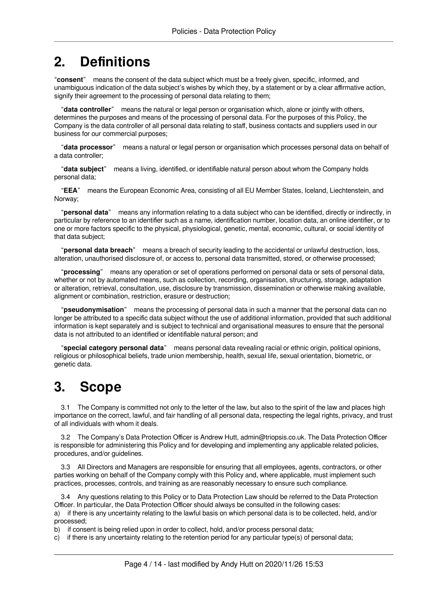## <span id="page-3-0"></span>**2. Definitions**

"**consent**" means the consent of the data subject which must be a freely given, specific, informed, and unambiguous indication of the data subject's wishes by which they, by a statement or by a clear affirmative action, signify their agreement to the processing of personal data relating to them;

"**data controller**" means the natural or legal person or organisation which, alone or jointly with others, determines the purposes and means of the processing of personal data. For the purposes of this Policy, the Company is the data controller of all personal data relating to staff, business contacts and suppliers used in our business for our commercial purposes;

"**data processor**" means a natural or legal person or organisation which processes personal data on behalf of a data controller;

"**data subject**" means a living, identified, or identifiable natural person about whom the Company holds personal data;

"**EEA**" means the European Economic Area, consisting of all EU Member States, Iceland, Liechtenstein, and Norway;

"**personal data**" means any information relating to a data subject who can be identified, directly or indirectly, in particular by reference to an identifier such as a name, identification number, location data, an online identifier, or to one or more factors specific to the physical, physiological, genetic, mental, economic, cultural, or social identity of that data subject;

"**personal data breach**" means a breach of security leading to the accidental or unlawful destruction, loss, alteration, unauthorised disclosure of, or access to, personal data transmitted, stored, or otherwise processed;

"**processing**" means any operation or set of operations performed on personal data or sets of personal data, whether or not by automated means, such as collection, recording, organisation, structuring, storage, adaptation or alteration, retrieval, consultation, use, disclosure by transmission, dissemination or otherwise making available, alignment or combination, restriction, erasure or destruction;

"**pseudonymisation**" means the processing of personal data in such a manner that the personal data can no longer be attributed to a specific data subject without the use of additional information, provided that such additional information is kept separately and is subject to technical and organisational measures to ensure that the personal data is not attributed to an identified or identifiable natural person; and

"**special category personal data**" means personal data revealing racial or ethnic origin, political opinions, religious or philosophical beliefs, trade union membership, health, sexual life, sexual orientation, biometric, or genetic data.

## <span id="page-3-2"></span><span id="page-3-1"></span>**3. Scope**

3.1 The Company is committed not only to the letter of the law, but also to the spirit of the law and places high importance on the correct, lawful, and fair handling of all personal data, respecting the legal rights, privacy, and trust of all individuals with whom it deals.

3.2 The Company's Data Protection Officer is Andrew Hutt, admin@triopsis.co.uk. The Data Protection Officer is responsible for administering this Policy and for developing and implementing any applicable related policies, procedures, and/or guidelines.

3.3 All Directors and Managers are responsible for ensuring that all employees, agents, contractors, or other parties working on behalf of the Company comply with this Policy and, where applicable, must implement such practices, processes, controls, and training as are reasonably necessary to ensure such compliance.

3.4 Any questions relating to this Policy or to Data Protection Law should be referred to the Data Protection Officer. In particular, the Data Protection Officer should always be consulted in the following cases:

a) if there is any uncertainty relating to the lawful basis on which personal data is to be collected, held, and/or processed;

b) if consent is being relied upon in order to collect, hold, and/or process personal data;

c) if there is any uncertainty relating to the retention period for any particular type(s) of personal data;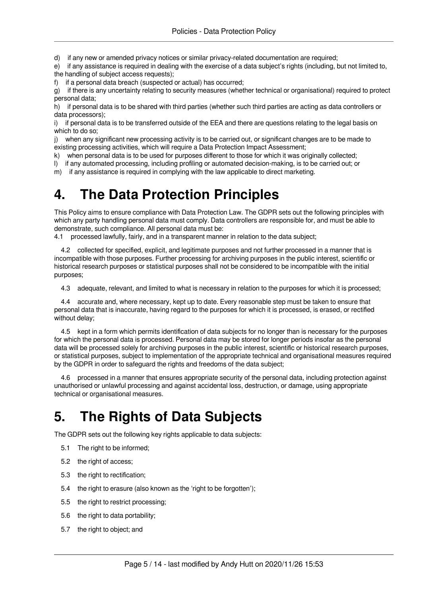d) if any new or amended privacy notices or similar privacy-related documentation are required;

e) if any assistance is required in dealing with the exercise of a data subject's rights (including, but not limited to,

the handling of subject access requests);

f) if a personal data breach (suspected or actual) has occurred;

g) if there is any uncertainty relating to security measures (whether technical or organisational) required to protect personal data;

h) if personal data is to be shared with third parties (whether such third parties are acting as data controllers or data processors);

i) if personal data is to be transferred outside of the EEA and there are questions relating to the legal basis on which to do so;

j) when any significant new processing activity is to be carried out, or significant changes are to be made to existing processing activities, which will require a Data Protection Impact Assessment;

k) when personal data is to be used for purposes different to those for which it was originally collected;<br>I) if any automated processing, including profiling or automated decision-making, is to be carried out: or

if any automated processing, including profiling or automated decision-making, is to be carried out; or

<span id="page-4-0"></span>m) if any assistance is required in complying with the law applicable to direct marketing.

#### <span id="page-4-2"></span>**4. The Data Protection Principles**

This Policy aims to ensure compliance with Data Protection Law. The GDPR sets out the following principles with which any party handling personal data must comply. Data controllers are responsible for, and must be able to demonstrate, such compliance. All personal data must be:

4.1 processed lawfully, fairly, and in a transparent manner in relation to the data subject;

4.2 collected for specified, explicit, and legitimate purposes and not further processed in a manner that is incompatible with those purposes. Further processing for archiving purposes in the public interest, scientific or historical research purposes or statistical purposes shall not be considered to be incompatible with the initial purposes;

4.3 adequate, relevant, and limited to what is necessary in relation to the purposes for which it is processed;

4.4 accurate and, where necessary, kept up to date. Every reasonable step must be taken to ensure that personal data that is inaccurate, having regard to the purposes for which it is processed, is erased, or rectified without delay;

4.5 kept in a form which permits identification of data subjects for no longer than is necessary for the purposes for which the personal data is processed. Personal data may be stored for longer periods insofar as the personal data will be processed solely for archiving purposes in the public interest, scientific or historical research purposes, or statistical purposes, subject to implementation of the appropriate technical and organisational measures required by the GDPR in order to safeguard the rights and freedoms of the data subject;

4.6 processed in a manner that ensures appropriate security of the personal data, including protection against unauthorised or unlawful processing and against accidental loss, destruction, or damage, using appropriate technical or organisational measures.

## <span id="page-4-3"></span><span id="page-4-1"></span>**5. The Rights of Data Subjects**

The GDPR sets out the following key rights applicable to data subjects:

- 5.1 The right to be informed;
- 5.2 the right of access;
- 5.3 the right to rectification;
- 5.4 the right to erasure (also known as the 'right to be forgotten');
- 5.5 the right to restrict processing;
- 5.6 the right to data portability;
- 5.7 the right to object; and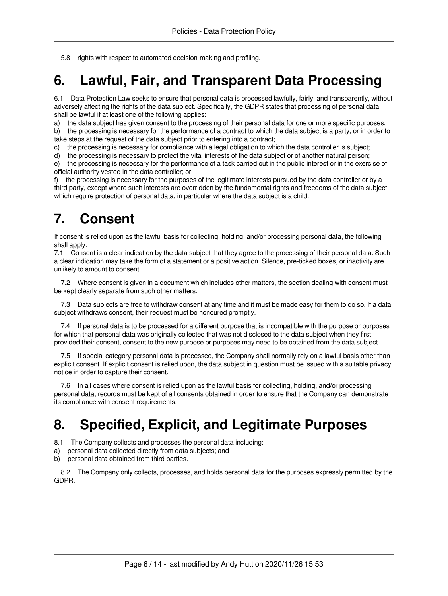<span id="page-5-0"></span>5.8 rights with respect to automated decision-making and profiling.

## <span id="page-5-3"></span>**6. Lawful, Fair, and Transparent Data Processing**

6.1 Data Protection Law seeks to ensure that personal data is processed lawfully, fairly, and transparently, without adversely affecting the rights of the data subject. Specifically, the GDPR states that processing of personal data shall be lawful if at least one of the following applies:

a) the data subject has given consent to the processing of their personal data for one or more specific purposes;

b) the processing is necessary for the performance of a contract to which the data subject is a party, or in order to take steps at the request of the data subject prior to entering into a contract;

c) the processing is necessary for compliance with a legal obligation to which the data controller is subject;

d) the processing is necessary to protect the vital interests of the data subject or of another natural person;

e) the processing is necessary for the performance of a task carried out in the public interest or in the exercise of official authority vested in the data controller; or

f) the processing is necessary for the purposes of the legitimate interests pursued by the data controller or by a third party, except where such interests are overridden by the fundamental rights and freedoms of the data subject which require protection of personal data, in particular where the data subject is a child.

### <span id="page-5-4"></span><span id="page-5-1"></span>**7. Consent**

If consent is relied upon as the lawful basis for collecting, holding, and/or processing personal data, the following shall apply:

7.1 Consent is a clear indication by the data subject that they agree to the processing of their personal data. Such a clear indication may take the form of a statement or a positive action. Silence, pre-ticked boxes, or inactivity are unlikely to amount to consent.

7.2 Where consent is given in a document which includes other matters, the section dealing with consent must be kept clearly separate from such other matters.

7.3 Data subjects are free to withdraw consent at any time and it must be made easy for them to do so. If a data subject withdraws consent, their request must be honoured promptly.

7.4 If personal data is to be processed for a different purpose that is incompatible with the purpose or purposes for which that personal data was originally collected that was not disclosed to the data subject when they first provided their consent, consent to the new purpose or purposes may need to be obtained from the data subject.

7.5 If special category personal data is processed, the Company shall normally rely on a lawful basis other than explicit consent. If explicit consent is relied upon, the data subject in question must be issued with a suitable privacy notice in order to capture their consent.

7.6 In all cases where consent is relied upon as the lawful basis for collecting, holding, and/or processing personal data, records must be kept of all consents obtained in order to ensure that the Company can demonstrate its compliance with consent requirements.

## <span id="page-5-5"></span><span id="page-5-2"></span>**8. Specified, Explicit, and Legitimate Purposes**

8.1 The Company collects and processes the personal data including:

- a) personal data collected directly from data subjects; and
- b) personal data obtained from third parties.

8.2 The Company only collects, processes, and holds personal data for the purposes expressly permitted by the GDPR.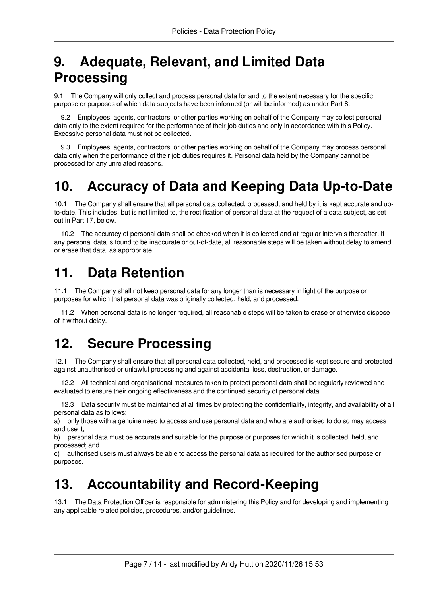## <span id="page-6-0"></span>**9. Adequate, Relevant, and Limited Data Processing**

9.1 The Company will only collect and process personal data for and to the extent necessary for the specific purpose or purposes of which data subjects have been informed (or will be informed) as under Part 8.

9.2 Employees, agents, contractors, or other parties working on behalf of the Company may collect personal data only to the extent required for the performance of their job duties and only in accordance with this Policy. Excessive personal data must not be collected.

9.3 Employees, agents, contractors, or other parties working on behalf of the Company may process personal data only when the performance of their job duties requires it. Personal data held by the Company cannot be processed for any unrelated reasons.

## <span id="page-6-5"></span><span id="page-6-1"></span>**10. Accuracy of Data and Keeping Data Up-to-Date**

10.1 The Company shall ensure that all personal data collected, processed, and held by it is kept accurate and upto-date. This includes, but is not limited to, the rectification of personal data at the request of a data subject, as set out in Part 17, below.

10.2 The accuracy of personal data shall be checked when it is collected and at regular intervals thereafter. If any personal data is found to be inaccurate or out-of-date, all reasonable steps will be taken without delay to amend or erase that data, as appropriate.

## <span id="page-6-6"></span><span id="page-6-2"></span>**11. Data Retention**

11.1 The Company shall not keep personal data for any longer than is necessary in light of the purpose or purposes for which that personal data was originally collected, held, and processed.

11.2 When personal data is no longer required, all reasonable steps will be taken to erase or otherwise dispose of it without delay.

## <span id="page-6-7"></span><span id="page-6-3"></span>**12. Secure Processing**

12.1 The Company shall ensure that all personal data collected, held, and processed is kept secure and protected against unauthorised or unlawful processing and against accidental loss, destruction, or damage.

12.2 All technical and organisational measures taken to protect personal data shall be regularly reviewed and evaluated to ensure their ongoing effectiveness and the continued security of personal data.

12.3 Data security must be maintained at all times by protecting the confidentiality, integrity, and availability of all personal data as follows:

a) only those with a genuine need to access and use personal data and who are authorised to do so may access and use it;

b) personal data must be accurate and suitable for the purpose or purposes for which it is collected, held, and processed; and

c) authorised users must always be able to access the personal data as required for the authorised purpose or purposes.

## <span id="page-6-8"></span><span id="page-6-4"></span>**13. Accountability and Record-Keeping**

13.1 The Data Protection Officer is responsible for administering this Policy and for developing and implementing any applicable related policies, procedures, and/or guidelines.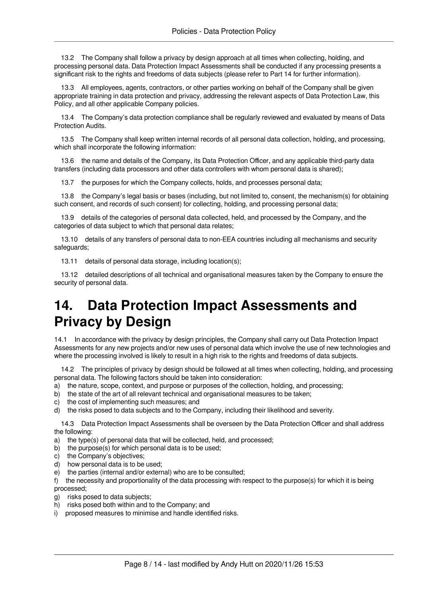13.2 The Company shall follow a privacy by design approach at all times when collecting, holding, and processing personal data. Data Protection Impact Assessments shall be conducted if any processing presents a significant risk to the rights and freedoms of data subjects (please refer to Part 14 for further information).

13.3 All employees, agents, contractors, or other parties working on behalf of the Company shall be given appropriate training in data protection and privacy, addressing the relevant aspects of Data Protection Law, this Policy, and all other applicable Company policies.

13.4 The Company's data protection compliance shall be regularly reviewed and evaluated by means of Data Protection Audits.

13.5 The Company shall keep written internal records of all personal data collection, holding, and processing, which shall incorporate the following information:

13.6 the name and details of the Company, its Data Protection Officer, and any applicable third-party data transfers (including data processors and other data controllers with whom personal data is shared);

13.7 the purposes for which the Company collects, holds, and processes personal data;

13.8 the Company's legal basis or bases (including, but not limited to, consent, the mechanism(s) for obtaining such consent, and records of such consent) for collecting, holding, and processing personal data;

13.9 details of the categories of personal data collected, held, and processed by the Company, and the categories of data subject to which that personal data relates;

13.10 details of any transfers of personal data to non-EEA countries including all mechanisms and security safeguards;

13.11 details of personal data storage, including location(s);

13.12 detailed descriptions of all technical and organisational measures taken by the Company to ensure the security of personal data.

### <span id="page-7-1"></span><span id="page-7-0"></span>**14. Data Protection Impact Assessments and Privacy by Design**

14.1 In accordance with the privacy by design principles, the Company shall carry out Data Protection Impact Assessments for any new projects and/or new uses of personal data which involve the use of new technologies and where the processing involved is likely to result in a high risk to the rights and freedoms of data subjects.

14.2 The principles of privacy by design should be followed at all times when collecting, holding, and processing personal data. The following factors should be taken into consideration:

- a) the nature, scope, context, and purpose or purposes of the collection, holding, and processing;
- b) the state of the art of all relevant technical and organisational measures to be taken;
- c) the cost of implementing such measures; and
- d) the risks posed to data subjects and to the Company, including their likelihood and severity.

14.3 Data Protection Impact Assessments shall be overseen by the Data Protection Officer and shall address the following:

- a) the type(s) of personal data that will be collected, held, and processed;
- b) the purpose(s) for which personal data is to be used;
- c) the Company's objectives;
- d) how personal data is to be used;
- e) the parties (internal and/or external) who are to be consulted;

f) the necessity and proportionality of the data processing with respect to the purpose(s) for which it is being processed;

- g) risks posed to data subjects;
- h) risks posed both within and to the Company; and
- i) proposed measures to minimise and handle identified risks.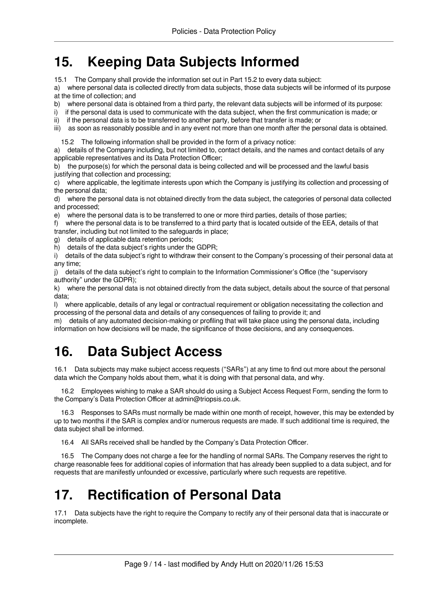## <span id="page-8-0"></span>**15. Keeping Data Subjects Informed**

15.1 The Company shall provide the information set out in Part 15.2 to every data subject:

a) where personal data is collected directly from data subjects, those data subjects will be informed of its purpose at the time of collection; and

b) where personal data is obtained from a third party, the relevant data subjects will be informed of its purpose:

i) if the personal data is used to communicate with the data subject, when the first communication is made; or

ii) if the personal data is to be transferred to another party, before that transfer is made; or

iii) as soon as reasonably possible and in any event not more than one month after the personal data is obtained.

15.2 The following information shall be provided in the form of a privacy notice:

a) details of the Company including, but not limited to, contact details, and the names and contact details of any applicable representatives and its Data Protection Officer;

b) the purpose(s) for which the personal data is being collected and will be processed and the lawful basis justifying that collection and processing;

c) where applicable, the legitimate interests upon which the Company is justifying its collection and processing of the personal data;

d) where the personal data is not obtained directly from the data subject, the categories of personal data collected and processed;

e) where the personal data is to be transferred to one or more third parties, details of those parties;

f) where the personal data is to be transferred to a third party that is located outside of the EEA, details of that transfer, including but not limited to the safeguards in place;

g) details of applicable data retention periods;

h) details of the data subject's rights under the GDPR;

i) details of the data subject's right to withdraw their consent to the Company's processing of their personal data at any time;

j) details of the data subject's right to complain to the Information Commissioner's Office (the "supervisory authority" under the GDPR);

k) where the personal data is not obtained directly from the data subject, details about the source of that personal data;

l) where applicable, details of any legal or contractual requirement or obligation necessitating the collection and processing of the personal data and details of any consequences of failing to provide it; and

m) details of any automated decision-making or profiling that will take place using the personal data, including information on how decisions will be made, the significance of those decisions, and any consequences.

## <span id="page-8-3"></span><span id="page-8-1"></span>**16. Data Subject Access**

16.1 Data subjects may make subject access requests ("SARs") at any time to find out more about the personal data which the Company holds about them, what it is doing with that personal data, and why.

16.2 Employees wishing to make a SAR should do using a Subject Access Request Form, sending the form to the Company's Data Protection Officer at admin@triopsis.co.uk.

16.3 Responses to SARs must normally be made within one month of receipt, however, this may be extended by up to two months if the SAR is complex and/or numerous requests are made. If such additional time is required, the data subject shall be informed.

16.4 All SARs received shall be handled by the Company's Data Protection Officer.

16.5 The Company does not charge a fee for the handling of normal SARs. The Company reserves the right to charge reasonable fees for additional copies of information that has already been supplied to a data subject, and for requests that are manifestly unfounded or excessive, particularly where such requests are repetitive.

## <span id="page-8-4"></span><span id="page-8-2"></span>**17. Rectification of Personal Data**

17.1 Data subjects have the right to require the Company to rectify any of their personal data that is inaccurate or incomplete.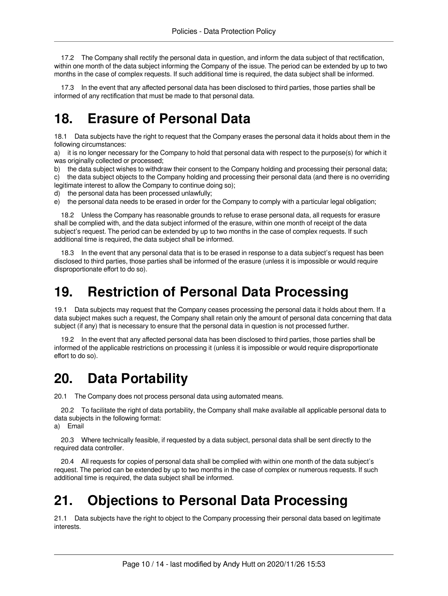17.2 The Company shall rectify the personal data in question, and inform the data subject of that rectification, within one month of the data subject informing the Company of the issue. The period can be extended by up to two months in the case of complex requests. If such additional time is required, the data subject shall be informed.

17.3 In the event that any affected personal data has been disclosed to third parties, those parties shall be informed of any rectification that must be made to that personal data.

## <span id="page-9-4"></span><span id="page-9-0"></span>**18. Erasure of Personal Data**

18.1 Data subjects have the right to request that the Company erases the personal data it holds about them in the following circumstances:

a) it is no longer necessary for the Company to hold that personal data with respect to the purpose(s) for which it was originally collected or processed;

b) the data subject wishes to withdraw their consent to the Company holding and processing their personal data; c) the data subject objects to the Company holding and processing their personal data (and there is no overriding

legitimate interest to allow the Company to continue doing so);

d) the personal data has been processed unlawfully;

e) the personal data needs to be erased in order for the Company to comply with a particular legal obligation;

18.2 Unless the Company has reasonable grounds to refuse to erase personal data, all requests for erasure shall be complied with, and the data subject informed of the erasure, within one month of receipt of the data subject's request. The period can be extended by up to two months in the case of complex requests. If such additional time is required, the data subject shall be informed.

18.3 In the event that any personal data that is to be erased in response to a data subject's request has been disclosed to third parties, those parties shall be informed of the erasure (unless it is impossible or would require disproportionate effort to do so).

#### <span id="page-9-5"></span><span id="page-9-1"></span>**19. Restriction of Personal Data Processing**

19.1 Data subjects may request that the Company ceases processing the personal data it holds about them. If a data subject makes such a request, the Company shall retain only the amount of personal data concerning that data subject (if any) that is necessary to ensure that the personal data in question is not processed further.

19.2 In the event that any affected personal data has been disclosed to third parties, those parties shall be informed of the applicable restrictions on processing it (unless it is impossible or would require disproportionate effort to do so).

#### <span id="page-9-6"></span><span id="page-9-2"></span>**20. Data Portability**

20.1 The Company does not process personal data using automated means.

20.2 To facilitate the right of data portability, the Company shall make available all applicable personal data to data subjects in the following format:

a) Email

20.3 Where technically feasible, if requested by a data subject, personal data shall be sent directly to the required data controller.

20.4 All requests for copies of personal data shall be complied with within one month of the data subject's request. The period can be extended by up to two months in the case of complex or numerous requests. If such additional time is required, the data subject shall be informed.

## <span id="page-9-7"></span><span id="page-9-3"></span>**21. Objections to Personal Data Processing**

21.1 Data subjects have the right to object to the Company processing their personal data based on legitimate interests.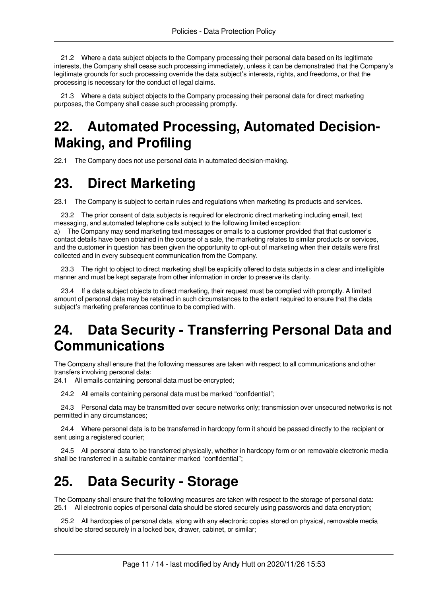21.2 Where a data subject objects to the Company processing their personal data based on its legitimate interests, the Company shall cease such processing immediately, unless it can be demonstrated that the Company's legitimate grounds for such processing override the data subject's interests, rights, and freedoms, or that the processing is necessary for the conduct of legal claims.

21.3 Where a data subject objects to the Company processing their personal data for direct marketing purposes, the Company shall cease such processing promptly.

## <span id="page-10-4"></span><span id="page-10-0"></span>**22. Automated Processing, Automated Decision-Making, and Profiling**

<span id="page-10-1"></span>22.1 The Company does not use personal data in automated decision-making.

## <span id="page-10-5"></span>**23. Direct Marketing**

23.1 The Company is subject to certain rules and regulations when marketing its products and services.

23.2 The prior consent of data subjects is required for electronic direct marketing including email, text messaging, and automated telephone calls subject to the following limited exception:

a) The Company may send marketing text messages or emails to a customer provided that that customer's contact details have been obtained in the course of a sale, the marketing relates to similar products or services, and the customer in question has been given the opportunity to opt-out of marketing when their details were first collected and in every subsequent communication from the Company.

23.3 The right to object to direct marketing shall be explicitly offered to data subjects in a clear and intelligible manner and must be kept separate from other information in order to preserve its clarity.

23.4 If a data subject objects to direct marketing, their request must be complied with promptly. A limited amount of personal data may be retained in such circumstances to the extent required to ensure that the data subject's marketing preferences continue to be complied with.

## <span id="page-10-6"></span><span id="page-10-2"></span>**24. Data Security - Transferring Personal Data and Communications**

The Company shall ensure that the following measures are taken with respect to all communications and other transfers involving personal data:

24.1 All emails containing personal data must be encrypted;

24.2 All emails containing personal data must be marked "confidential";

24.3 Personal data may be transmitted over secure networks only; transmission over unsecured networks is not permitted in any circumstances;

24.4 Where personal data is to be transferred in hardcopy form it should be passed directly to the recipient or sent using a registered courier;

24.5 All personal data to be transferred physically, whether in hardcopy form or on removable electronic media shall be transferred in a suitable container marked "confidential";

## <span id="page-10-7"></span><span id="page-10-3"></span>**25. Data Security - Storage**

The Company shall ensure that the following measures are taken with respect to the storage of personal data: 25.1 All electronic copies of personal data should be stored securely using passwords and data encryption;

25.2 All hardcopies of personal data, along with any electronic copies stored on physical, removable media should be stored securely in a locked box, drawer, cabinet, or similar;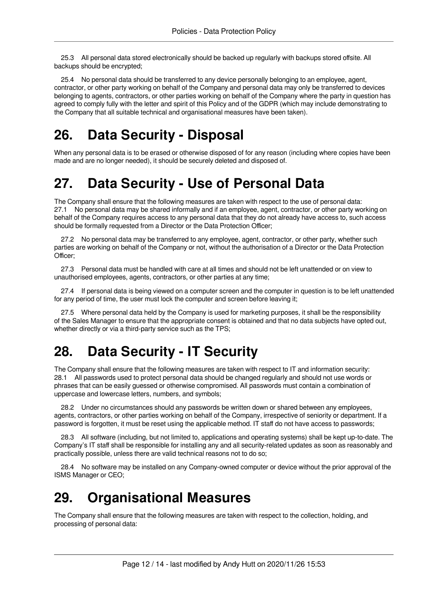25.3 All personal data stored electronically should be backed up regularly with backups stored offsite. All backups should be encrypted;

25.4 No personal data should be transferred to any device personally belonging to an employee, agent, contractor, or other party working on behalf of the Company and personal data may only be transferred to devices belonging to agents, contractors, or other parties working on behalf of the Company where the party in question has agreed to comply fully with the letter and spirit of this Policy and of the GDPR (which may include demonstrating to the Company that all suitable technical and organisational measures have been taken).

## <span id="page-11-4"></span><span id="page-11-0"></span>**26. Data Security - Disposal**

When any personal data is to be erased or otherwise disposed of for any reason (including where copies have been made and are no longer needed), it should be securely deleted and disposed of.

## <span id="page-11-5"></span><span id="page-11-1"></span>**27. Data Security - Use of Personal Data**

The Company shall ensure that the following measures are taken with respect to the use of personal data: 27.1 No personal data may be shared informally and if an employee, agent, contractor, or other party working on behalf of the Company requires access to any personal data that they do not already have access to, such access should be formally requested from a Director or the Data Protection Officer;

27.2 No personal data may be transferred to any employee, agent, contractor, or other party, whether such parties are working on behalf of the Company or not, without the authorisation of a Director or the Data Protection Officer;

27.3 Personal data must be handled with care at all times and should not be left unattended or on view to unauthorised employees, agents, contractors, or other parties at any time;

27.4 If personal data is being viewed on a computer screen and the computer in question is to be left unattended for any period of time, the user must lock the computer and screen before leaving it;

27.5 Where personal data held by the Company is used for marketing purposes, it shall be the responsibility of the Sales Manager to ensure that the appropriate consent is obtained and that no data subjects have opted out, whether directly or via a third-party service such as the TPS;

## <span id="page-11-6"></span><span id="page-11-2"></span>**28. Data Security - IT Security**

The Company shall ensure that the following measures are taken with respect to IT and information security: 28.1 All passwords used to protect personal data should be changed regularly and should not use words or phrases that can be easily guessed or otherwise compromised. All passwords must contain a combination of uppercase and lowercase letters, numbers, and symbols;

28.2 Under no circumstances should any passwords be written down or shared between any employees, agents, contractors, or other parties working on behalf of the Company, irrespective of seniority or department. If a password is forgotten, it must be reset using the applicable method. IT staff do not have access to passwords;

28.3 All software (including, but not limited to, applications and operating systems) shall be kept up-to-date. The Company's IT staff shall be responsible for installing any and all security-related updates as soon as reasonably and practically possible, unless there are valid technical reasons not to do so;

28.4 No software may be installed on any Company-owned computer or device without the prior approval of the ISMS Manager or CEO;

## <span id="page-11-7"></span><span id="page-11-3"></span>**29. Organisational Measures**

The Company shall ensure that the following measures are taken with respect to the collection, holding, and processing of personal data: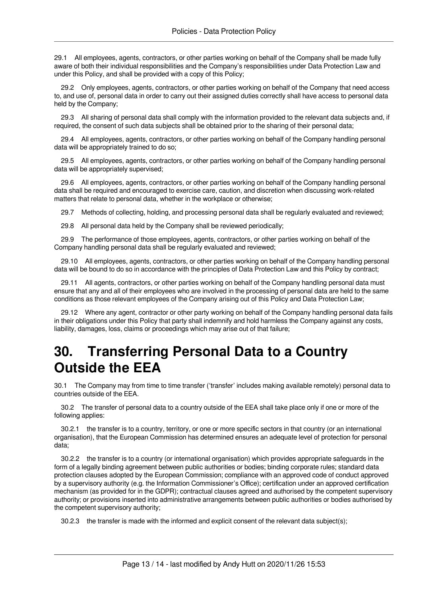29.1 All employees, agents, contractors, or other parties working on behalf of the Company shall be made fully aware of both their individual responsibilities and the Company's responsibilities under Data Protection Law and under this Policy, and shall be provided with a copy of this Policy;

29.2 Only employees, agents, contractors, or other parties working on behalf of the Company that need access to, and use of, personal data in order to carry out their assigned duties correctly shall have access to personal data held by the Company;

29.3 All sharing of personal data shall comply with the information provided to the relevant data subjects and, if required, the consent of such data subjects shall be obtained prior to the sharing of their personal data;

29.4 All employees, agents, contractors, or other parties working on behalf of the Company handling personal data will be appropriately trained to do so;

29.5 All employees, agents, contractors, or other parties working on behalf of the Company handling personal data will be appropriately supervised;

29.6 All employees, agents, contractors, or other parties working on behalf of the Company handling personal data shall be required and encouraged to exercise care, caution, and discretion when discussing work-related matters that relate to personal data, whether in the workplace or otherwise;

29.7 Methods of collecting, holding, and processing personal data shall be regularly evaluated and reviewed;

29.8 All personal data held by the Company shall be reviewed periodically;

29.9 The performance of those employees, agents, contractors, or other parties working on behalf of the Company handling personal data shall be regularly evaluated and reviewed;

29.10 All employees, agents, contractors, or other parties working on behalf of the Company handling personal data will be bound to do so in accordance with the principles of Data Protection Law and this Policy by contract;

29.11 All agents, contractors, or other parties working on behalf of the Company handling personal data must ensure that any and all of their employees who are involved in the processing of personal data are held to the same conditions as those relevant employees of the Company arising out of this Policy and Data Protection Law;

29.12 Where any agent, contractor or other party working on behalf of the Company handling personal data fails in their obligations under this Policy that party shall indemnify and hold harmless the Company against any costs, liability, damages, loss, claims or proceedings which may arise out of that failure;

#### <span id="page-12-1"></span><span id="page-12-0"></span>**30. Transferring Personal Data to a Country Outside the EEA**

30.1 The Company may from time to time transfer ('transfer' includes making available remotely) personal data to countries outside of the EEA.

30.2 The transfer of personal data to a country outside of the EEA shall take place only if one or more of the following applies:

30.2.1 the transfer is to a country, territory, or one or more specific sectors in that country (or an international organisation), that the European Commission has determined ensures an adequate level of protection for personal data;

30.2.2 the transfer is to a country (or international organisation) which provides appropriate safeguards in the form of a legally binding agreement between public authorities or bodies; binding corporate rules; standard data protection clauses adopted by the European Commission; compliance with an approved code of conduct approved by a supervisory authority (e.g. the Information Commissioner's Office); certification under an approved certification mechanism (as provided for in the GDPR); contractual clauses agreed and authorised by the competent supervisory authority; or provisions inserted into administrative arrangements between public authorities or bodies authorised by the competent supervisory authority;

30.2.3 the transfer is made with the informed and explicit consent of the relevant data subject(s);